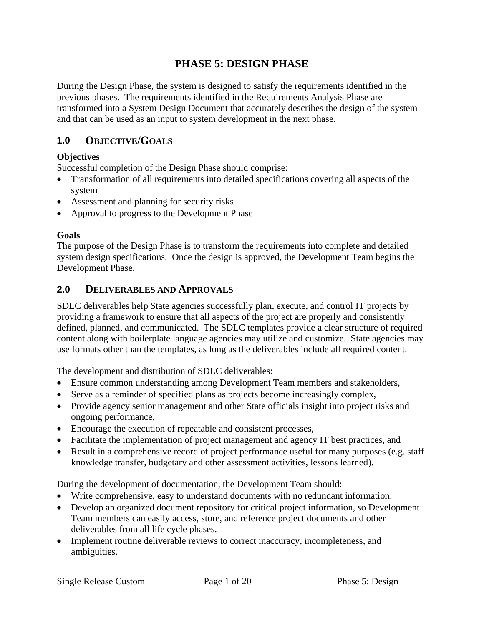# **PHASE 5: DESIGN PHASE**

During the Design Phase, the system is designed to satisfy the requirements identified in the previous phases. The requirements identified in the Requirements Analysis Phase are transformed into a System Design Document that accurately describes the design of the system and that can be used as an input to system development in the next phase.

### **1.0 OBJECTIVE/GOALS**

#### **Objectives**

Successful completion of the Design Phase should comprise:

- Transformation of all requirements into detailed specifications covering all aspects of the system
- Assessment and planning for security risks
- Approval to progress to the Development Phase

#### **Goals**

The purpose of the Design Phase is to transform the requirements into complete and detailed system design specifications. Once the design is approved, the Development Team begins the Development Phase.

#### **2.0 DELIVERABLES AND APPROVALS**

SDLC deliverables help State agencies successfully plan, execute, and control IT projects by providing a framework to ensure that all aspects of the project are properly and consistently defined, planned, and communicated. The SDLC templates provide a clear structure of required content along with boilerplate language agencies may utilize and customize. State agencies may use formats other than the templates, as long as the deliverables include all required content.

The development and distribution of SDLC deliverables:

- Ensure common understanding among Development Team members and stakeholders,
- Serve as a reminder of specified plans as projects become increasingly complex,
- Provide agency senior management and other State officials insight into project risks and ongoing performance,
- Encourage the execution of repeatable and consistent processes,
- Facilitate the implementation of project management and agency IT best practices, and
- Result in a comprehensive record of project performance useful for many purposes (e.g. staff knowledge transfer, budgetary and other assessment activities, lessons learned).

During the development of documentation, the Development Team should:

- Write comprehensive, easy to understand documents with no redundant information.
- Develop an organized document repository for critical project information, so Development Team members can easily access, store, and reference project documents and other deliverables from all life cycle phases.
- Implement routine deliverable reviews to correct inaccuracy, incompleteness, and ambiguities.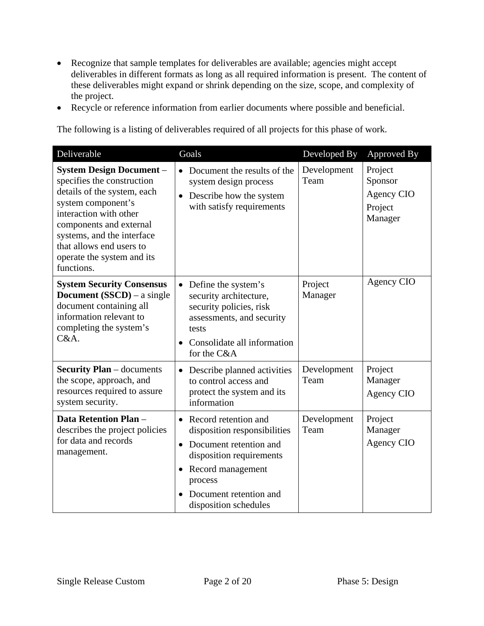- Recognize that sample templates for deliverables are available; agencies might accept deliverables in different formats as long as all required information is present. The content of these deliverables might expand or shrink depending on the size, scope, and complexity of the project.
- Recycle or reference information from earlier documents where possible and beneficial.

The following is a listing of deliverables required of all projects for this phase of work.

| Deliverable                                                                                                                                                                                                                                                                   | Goals                                                                                                                                                                                                                   | Developed By        | Approved By                                            |
|-------------------------------------------------------------------------------------------------------------------------------------------------------------------------------------------------------------------------------------------------------------------------------|-------------------------------------------------------------------------------------------------------------------------------------------------------------------------------------------------------------------------|---------------------|--------------------------------------------------------|
| <b>System Design Document -</b><br>specifies the construction<br>details of the system, each<br>system component's<br>interaction with other<br>components and external<br>systems, and the interface<br>that allows end users to<br>operate the system and its<br>functions. | Document the results of the<br>system design process<br>Describe how the system<br>with satisfy requirements                                                                                                            | Development<br>Team | Project<br>Sponsor<br>Agency CIO<br>Project<br>Manager |
| <b>System Security Consensus</b><br><b>Document</b> (SSCD) – a single<br>document containing all<br>information relevant to<br>completing the system's<br>C&A.                                                                                                                | Define the system's<br>$\bullet$<br>security architecture,<br>security policies, risk<br>assessments, and security<br>tests<br>Consolidate all information<br>for the C&A                                               | Project<br>Manager  | Agency CIO                                             |
| <b>Security Plan</b> – documents<br>the scope, approach, and<br>resources required to assure<br>system security.                                                                                                                                                              | Describe planned activities<br>$\bullet$<br>to control access and<br>protect the system and its<br>information                                                                                                          | Development<br>Team | Project<br>Manager<br>Agency CIO                       |
| <b>Data Retention Plan -</b><br>describes the project policies<br>for data and records<br>management.                                                                                                                                                                         | Record retention and<br>disposition responsibilities<br>Document retention and<br>$\bullet$<br>disposition requirements<br>Record management<br>$\bullet$<br>process<br>Document retention and<br>disposition schedules | Development<br>Team | Project<br>Manager<br>Agency CIO                       |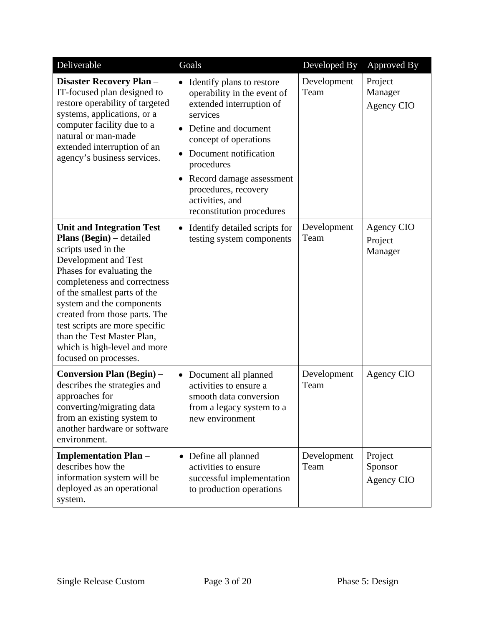| Deliverable                                                                                                                                                                                                                                                                                                                                                                                            | Goals                                                                                                                                                                                                                                                                                                                      | Developed By        | Approved By                             |
|--------------------------------------------------------------------------------------------------------------------------------------------------------------------------------------------------------------------------------------------------------------------------------------------------------------------------------------------------------------------------------------------------------|----------------------------------------------------------------------------------------------------------------------------------------------------------------------------------------------------------------------------------------------------------------------------------------------------------------------------|---------------------|-----------------------------------------|
| Disaster Recovery Plan -<br>IT-focused plan designed to<br>restore operability of targeted<br>systems, applications, or a<br>computer facility due to a<br>natural or man-made<br>extended interruption of an<br>agency's business services.                                                                                                                                                           | Identify plans to restore<br>$\bullet$<br>operability in the event of<br>extended interruption of<br>services<br>Define and document<br>concept of operations<br>Document notification<br>٠<br>procedures<br>Record damage assessment<br>$\bullet$<br>procedures, recovery<br>activities, and<br>reconstitution procedures | Development<br>Team | Project<br>Manager<br><b>Agency CIO</b> |
| <b>Unit and Integration Test</b><br><b>Plans (Begin)</b> – detailed<br>scripts used in the<br>Development and Test<br>Phases for evaluating the<br>completeness and correctness<br>of the smallest parts of the<br>system and the components<br>created from those parts. The<br>test scripts are more specific<br>than the Test Master Plan,<br>which is high-level and more<br>focused on processes. | Identify detailed scripts for<br>$\bullet$<br>testing system components                                                                                                                                                                                                                                                    | Development<br>Team | Agency CIO<br>Project<br>Manager        |
| <b>Conversion Plan (Begin)</b> –<br>describes the strategies and<br>approaches for<br>converting/migrating data<br>from an existing system to<br>another hardware or software<br>environment.                                                                                                                                                                                                          | Document all planned<br>$\bullet$<br>activities to ensure a<br>smooth data conversion<br>from a legacy system to a<br>new environment                                                                                                                                                                                      | Development<br>Team | Agency CIO                              |
| <b>Implementation Plan -</b><br>describes how the<br>information system will be<br>deployed as an operational<br>system.                                                                                                                                                                                                                                                                               | Define all planned<br>$\bullet$<br>activities to ensure<br>successful implementation<br>to production operations                                                                                                                                                                                                           | Development<br>Team | Project<br>Sponsor<br>Agency CIO        |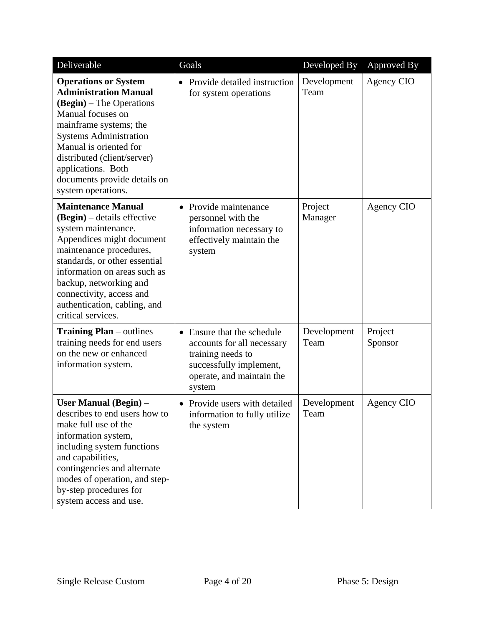| Deliverable                                                                                                                                                                                                                                                                                                            | Goals                                                                                                                                                      | Developed By        | Approved By        |
|------------------------------------------------------------------------------------------------------------------------------------------------------------------------------------------------------------------------------------------------------------------------------------------------------------------------|------------------------------------------------------------------------------------------------------------------------------------------------------------|---------------------|--------------------|
| <b>Operations or System</b><br><b>Administration Manual</b><br>(Begin) – The Operations<br>Manual focuses on<br>mainframe systems; the<br><b>Systems Administration</b><br>Manual is oriented for<br>distributed (client/server)<br>applications. Both<br>documents provide details on<br>system operations.           | Provide detailed instruction<br>for system operations                                                                                                      | Development<br>Team | Agency CIO         |
| <b>Maintenance Manual</b><br>$(Begin)$ – details effective<br>system maintenance.<br>Appendices might document<br>maintenance procedures,<br>standards, or other essential<br>information on areas such as<br>backup, networking and<br>connectivity, access and<br>authentication, cabling, and<br>critical services. | Provide maintenance<br>$\bullet$<br>personnel with the<br>information necessary to<br>effectively maintain the<br>system                                   | Project<br>Manager  | Agency CIO         |
| <b>Training Plan</b> – outlines<br>training needs for end users<br>on the new or enhanced<br>information system.                                                                                                                                                                                                       | Ensure that the schedule<br>$\bullet$<br>accounts for all necessary<br>training needs to<br>successfully implement,<br>operate, and maintain the<br>system | Development<br>Team | Project<br>Sponsor |
| User Manual (Begin) -<br>describes to end users how to<br>make full use of the<br>information system,<br>including system functions<br>and capabilities,<br>contingencies and alternate<br>modes of operation, and step-<br>by-step procedures for<br>system access and use.                                           | Provide users with detailed<br>$\bullet$<br>information to fully utilize<br>the system                                                                     | Development<br>Team | Agency CIO         |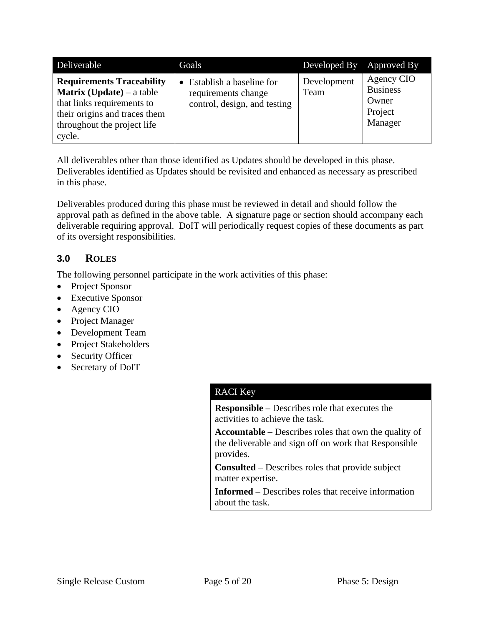| Deliverable                                                                                                                                                                  | Goals                                                                             | Developed By Approved By |                                                              |
|------------------------------------------------------------------------------------------------------------------------------------------------------------------------------|-----------------------------------------------------------------------------------|--------------------------|--------------------------------------------------------------|
| <b>Requirements Traceability</b><br><b>Matrix (Update)</b> – a table<br>that links requirements to<br>their origins and traces them<br>throughout the project life<br>cycle. | • Establish a baseline for<br>requirements change<br>control, design, and testing | Development<br>Team      | Agency CIO<br><b>Business</b><br>Owner<br>Project<br>Manager |

All deliverables other than those identified as Updates should be developed in this phase. Deliverables identified as Updates should be revisited and enhanced as necessary as prescribed in this phase.

Deliverables produced during this phase must be reviewed in detail and should follow the approval path as defined in the above table. A signature page or section should accompany each deliverable requiring approval. DoIT will periodically request copies of these documents as part of its oversight responsibilities.

# **3.0 ROLES**

The following personnel participate in the work activities of this phase:

- Project Sponsor
- Executive Sponsor
- Agency CIO
- Project Manager
- Development Team
- Project Stakeholders
- Security Officer
- Secretary of DoIT

# RACI Key

**Responsible** – Describes role that executes the activities to achieve the task.

**Accountable** – Describes roles that own the quality of the deliverable and sign off on work that Responsible provides.

**Consulted** – Describes roles that provide subject matter expertise.

**Informed** – Describes roles that receive information about the task.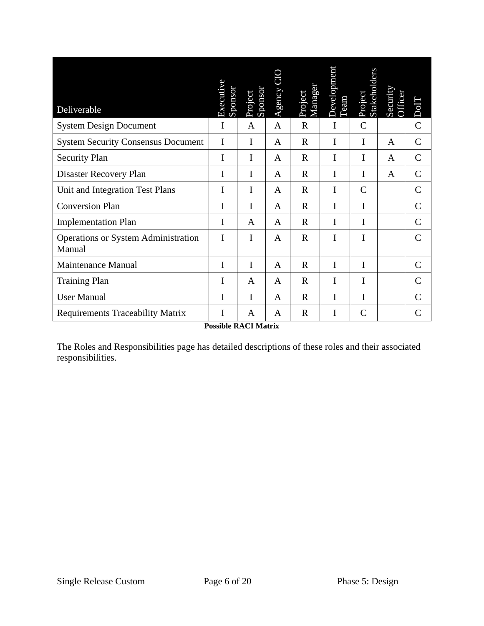| Deliverable                                   | Executive<br>Sponsor | Project<br>Sponsor | Agency $CI($ | Manager<br>Project | Developmen<br>Team | Stakeholders<br>Project | Security<br>Officer | DolT          |
|-----------------------------------------------|----------------------|--------------------|--------------|--------------------|--------------------|-------------------------|---------------------|---------------|
| <b>System Design Document</b>                 | I                    | A                  | A            | $\mathbf R$        | I                  | $\mathsf{C}$            |                     | $\mathcal{C}$ |
| <b>System Security Consensus Document</b>     | I                    | I                  | A            | $\mathbf R$        | I                  | I                       | A                   | $\mathcal{C}$ |
| <b>Security Plan</b>                          | I                    | I                  | A            | $\mathbf R$        | I                  | Ι                       | A                   | $\mathcal{C}$ |
| Disaster Recovery Plan                        | I                    | I                  | A            | $\mathbf R$        | I                  | I                       | A                   | $\mathsf{C}$  |
| Unit and Integration Test Plans               | I                    | I                  | A            | $\mathbf R$        | I                  | $\mathcal{C}$           |                     | $\mathcal{C}$ |
| <b>Conversion Plan</b>                        | I                    | I                  | A            | $\mathbf R$        | I                  | I                       |                     | $\mathcal{C}$ |
| <b>Implementation Plan</b>                    | I                    | A                  | A            | $\mathbf R$        | I                  | I                       |                     | C             |
| Operations or System Administration<br>Manual | I                    | I                  | A            | $\mathbf R$        | I                  | I                       |                     | $\mathcal{C}$ |
| <b>Maintenance Manual</b>                     | I                    | I                  | A            | $\mathbf R$        | I                  | I                       |                     | $\mathcal{C}$ |
| <b>Training Plan</b>                          | I                    | A                  | A            | $\mathbf R$        | I                  | Ι                       |                     | $\mathsf{C}$  |
| <b>User Manual</b>                            | I                    | I                  | A            | $\mathbf R$        | I                  | I                       |                     | C             |
| <b>Requirements Traceability Matrix</b>       | I                    | A                  | A            | $\mathbf R$        | I                  | $\mathcal{C}$           |                     | $\mathbf C$   |
| <b>Possible RACI Matrix</b>                   |                      |                    |              |                    |                    |                         |                     |               |

The Roles and Responsibilities page has detailed descriptions of these roles and their associated responsibilities.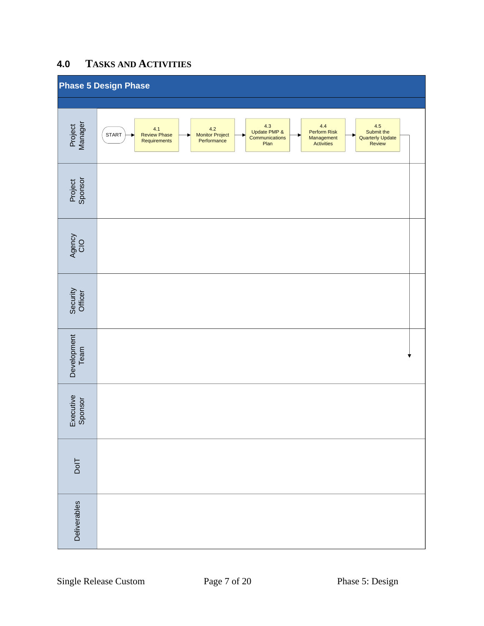# **4.0 TASKS AND ACTIVITIES**

|                      | <b>Phase 5 Design Phase</b>                                                                                                                                                                                                                                    |
|----------------------|----------------------------------------------------------------------------------------------------------------------------------------------------------------------------------------------------------------------------------------------------------------|
|                      |                                                                                                                                                                                                                                                                |
| Project<br>Manager   | 4.3<br>4.5<br>$4.4\,$<br>4.1<br>4.2<br>Monitor Project<br>Performance<br>Update PMP &<br>Perform Risk<br>Submit the<br><b>START</b><br>Review Phase<br>Requirements<br>Communications<br>Management<br>Activities<br><b>Quarterly Update</b><br>Plan<br>Review |
| Project<br>Sponsor   |                                                                                                                                                                                                                                                                |
| Agency<br>CIO        |                                                                                                                                                                                                                                                                |
| Security<br>Officer  |                                                                                                                                                                                                                                                                |
| Development<br>Team  |                                                                                                                                                                                                                                                                |
| Executive<br>Sponsor |                                                                                                                                                                                                                                                                |
| $D$ ol $T$           |                                                                                                                                                                                                                                                                |
| Deliverables         |                                                                                                                                                                                                                                                                |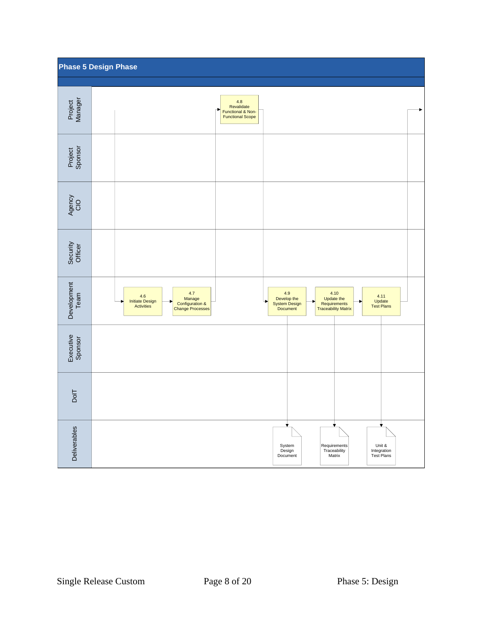|                           | <b>Phase 5 Design Phase</b>                                                                                                                                                                                                                                |  |
|---------------------------|------------------------------------------------------------------------------------------------------------------------------------------------------------------------------------------------------------------------------------------------------------|--|
| Project<br>Manager        | 4.8<br>Revalidate<br>Functional & Non-<br><b>Functional Scope</b>                                                                                                                                                                                          |  |
| Project<br>Sponsor        |                                                                                                                                                                                                                                                            |  |
| Agency<br>CIO             |                                                                                                                                                                                                                                                            |  |
| Security<br>Officer       |                                                                                                                                                                                                                                                            |  |
| Development<br>Team       | 4.7<br>4.9<br>4.10<br>4.6<br>4.11<br>Manage<br>Develop the<br>Update the<br><b>Initiate Design</b><br>Update<br>Test Plans<br>Configuration &<br>Change Processes<br>System Design<br>Requirements<br>Traceability Matrix<br><b>Activities</b><br>Document |  |
| Executive<br>Sponsor      |                                                                                                                                                                                                                                                            |  |
| $\overline{\mathsf{DoH}}$ |                                                                                                                                                                                                                                                            |  |
| Deliverables              | System<br>Requirements<br>Unit &<br>Integration<br>Test Plans<br>Design<br>Traceability<br>Document<br>Matrix                                                                                                                                              |  |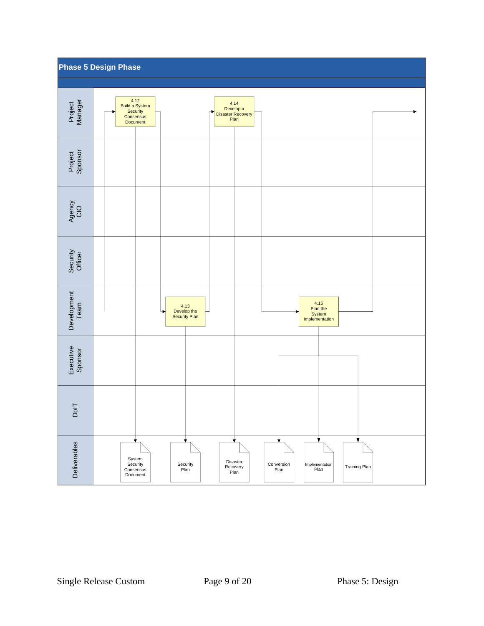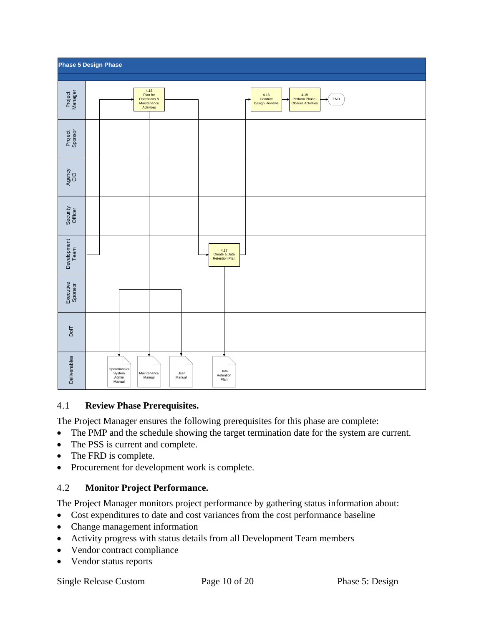

#### 4.1 **Review Phase Prerequisites.**

The Project Manager ensures the following prerequisites for this phase are complete:

- The PMP and the schedule showing the target termination date for the system are current.
- The PSS is current and complete.
- The FRD is complete.
- Procurement for development work is complete.

### 4.2 **Monitor Project Performance.**

The Project Manager monitors project performance by gathering status information about:

- Cost expenditures to date and cost variances from the cost performance baseline
- Change management information
- Activity progress with status details from all Development Team members
- Vendor contract compliance
- Vendor status reports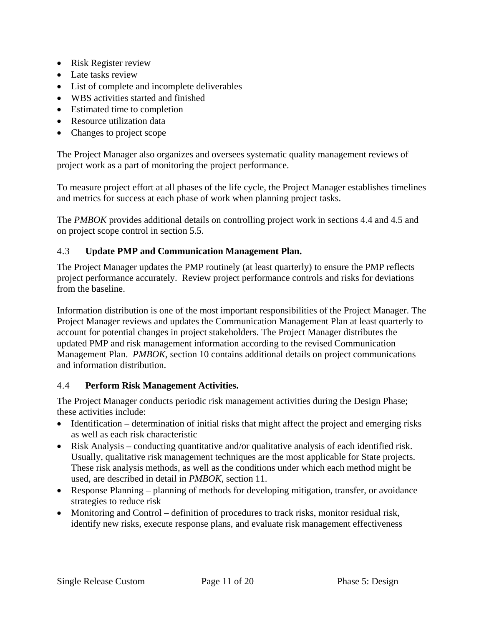- Risk Register review
- Late tasks review
- List of complete and incomplete deliverables
- WBS activities started and finished
- Estimated time to completion
- Resource utilization data
- Changes to project scope

The Project Manager also organizes and oversees systematic quality management reviews of project work as a part of monitoring the project performance.

To measure project effort at all phases of the life cycle, the Project Manager establishes timelines and metrics for success at each phase of work when planning project tasks.

The *PMBOK* provides additional details on controlling project work in sections 4.4 and 4.5 and on project scope control in section 5.5.

#### 4.3 **Update PMP and Communication Management Plan.**

The Project Manager updates the PMP routinely (at least quarterly) to ensure the PMP reflects project performance accurately. Review project performance controls and risks for deviations from the baseline.

Information distribution is one of the most important responsibilities of the Project Manager. The Project Manager reviews and updates the Communication Management Plan at least quarterly to account for potential changes in project stakeholders. The Project Manager distributes the updated PMP and risk management information according to the revised Communication Management Plan. *PMBOK,* section 10 contains additional details on project communications and information distribution.

#### 4.4 **Perform Risk Management Activities.**

The Project Manager conducts periodic risk management activities during the Design Phase; these activities include:

- Identification determination of initial risks that might affect the project and emerging risks as well as each risk characteristic
- Risk Analysis conducting quantitative and/or qualitative analysis of each identified risk. Usually, qualitative risk management techniques are the most applicable for State projects. These risk analysis methods, as well as the conditions under which each method might be used, are described in detail in *PMBOK*, section 11.
- Response Planning planning of methods for developing mitigation, transfer, or avoidance strategies to reduce risk
- Monitoring and Control definition of procedures to track risks, monitor residual risk, identify new risks, execute response plans, and evaluate risk management effectiveness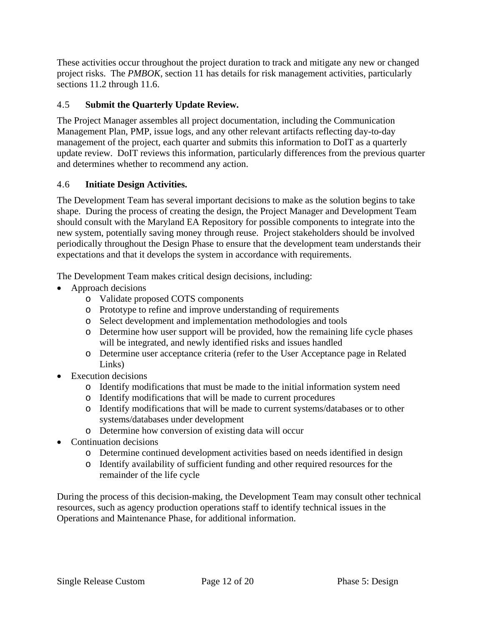These activities occur throughout the project duration to track and mitigate any new or changed project risks. The *PMBOK*, section 11 has details for risk management activities, particularly sections 11.2 through 11.6.

### 4.5 **Submit the Quarterly Update Review.**

The Project Manager assembles all project documentation, including the Communication Management Plan, PMP, issue logs, and any other relevant artifacts reflecting day-to-day management of the project, each quarter and submits this information to DoIT as a quarterly update review. DoIT reviews this information, particularly differences from the previous quarter and determines whether to recommend any action.

### 4.6 **Initiate Design Activities.**

The Development Team has several important decisions to make as the solution begins to take shape. During the process of creating the design, the Project Manager and Development Team should consult with the Maryland EA Repository for possible components to integrate into the new system, potentially saving money through reuse. Project stakeholders should be involved periodically throughout the Design Phase to ensure that the development team understands their expectations and that it develops the system in accordance with requirements.

The Development Team makes critical design decisions, including:

- Approach decisions
	- o Validate proposed COTS components
	- o Prototype to refine and improve understanding of requirements
	- o Select development and implementation methodologies and tools
	- o Determine how user support will be provided, how the remaining life cycle phases will be integrated, and newly identified risks and issues handled
	- o Determine user acceptance criteria (refer to the User Acceptance page in Related Links)
- Execution decisions
	- o Identify modifications that must be made to the initial information system need
	- o Identify modifications that will be made to current procedures
	- o Identify modifications that will be made to current systems/databases or to other systems/databases under development
	- o Determine how conversion of existing data will occur
- Continuation decisions
	- o Determine continued development activities based on needs identified in design
	- o Identify availability of sufficient funding and other required resources for the remainder of the life cycle

During the process of this decision-making, the Development Team may consult other technical resources, such as agency production operations staff to identify technical issues in the Operations and Maintenance Phase, for additional information.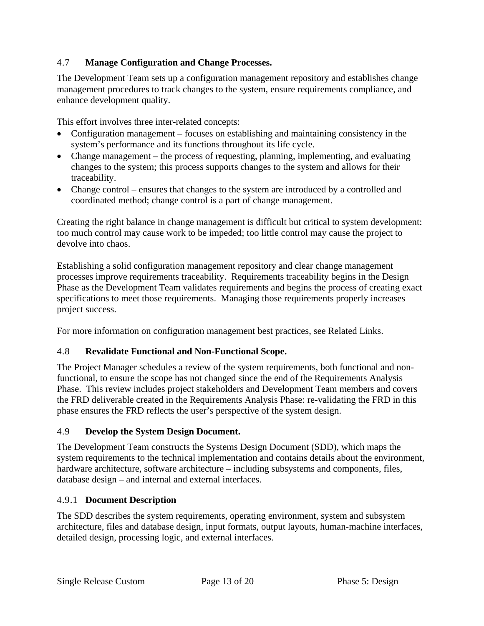### 4.7 **Manage Configuration and Change Processes.**

The Development Team sets up a configuration management repository and establishes change management procedures to track changes to the system, ensure requirements compliance, and enhance development quality.

This effort involves three inter-related concepts:

- Configuration management focuses on establishing and maintaining consistency in the system's performance and its functions throughout its life cycle.
- Change management the process of requesting, planning, implementing, and evaluating changes to the system; this process supports changes to the system and allows for their traceability.
- Change control ensures that changes to the system are introduced by a controlled and coordinated method; change control is a part of change management.

Creating the right balance in change management is difficult but critical to system development: too much control may cause work to be impeded; too little control may cause the project to devolve into chaos.

Establishing a solid configuration management repository and clear change management processes improve requirements traceability. Requirements traceability begins in the Design Phase as the Development Team validates requirements and begins the process of creating exact specifications to meet those requirements. Managing those requirements properly increases project success.

For more information on configuration management best practices, see Related Links.

### 4.8 **Revalidate Functional and Non-Functional Scope.**

The Project Manager schedules a review of the system requirements, both functional and nonfunctional, to ensure the scope has not changed since the end of the Requirements Analysis Phase. This review includes project stakeholders and Development Team members and covers the FRD deliverable created in the Requirements Analysis Phase: re-validating the FRD in this phase ensures the FRD reflects the user's perspective of the system design.

### 4.9 **Develop the System Design Document.**

The Development Team constructs the Systems Design Document (SDD), which maps the system requirements to the technical implementation and contains details about the environment, hardware architecture, software architecture – including subsystems and components, files, database design – and internal and external interfaces.

### 4.9.1 **Document Description**

The SDD describes the system requirements, operating environment, system and subsystem architecture, files and database design, input formats, output layouts, human-machine interfaces, detailed design, processing logic, and external interfaces.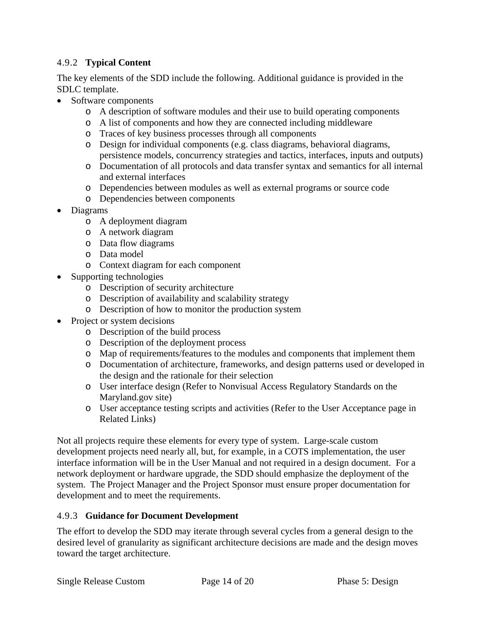### 4.9.2 **Typical Content**

The key elements of the SDD include the following. Additional guidance is provided in the SDLC template.

- Software components
	- o A description of software modules and their use to build operating components
	- o A list of components and how they are connected including middleware
	- o Traces of key business processes through all components
	- o Design for individual components (e.g. class diagrams, behavioral diagrams, persistence models, concurrency strategies and tactics, interfaces, inputs and outputs)
	- o Documentation of all protocols and data transfer syntax and semantics for all internal and external interfaces
	- o Dependencies between modules as well as external programs or source code
	- o Dependencies between components
- Diagrams
	- o A deployment diagram
	- o A network diagram
	- o Data flow diagrams
	- o Data model
	- o Context diagram for each component
- Supporting technologies
	- o Description of security architecture
	- o Description of availability and scalability strategy
	- o Description of how to monitor the production system
- Project or system decisions
	- o Description of the build process
	- o Description of the deployment process
	- o Map of requirements/features to the modules and components that implement them
	- o Documentation of architecture, frameworks, and design patterns used or developed in the design and the rationale for their selection
	- o User interface design (Refer to Nonvisual Access Regulatory Standards on the Maryland.gov site)
	- o User acceptance testing scripts and activities (Refer to the User Acceptance page in Related Links)

Not all projects require these elements for every type of system. Large-scale custom development projects need nearly all, but, for example, in a COTS implementation, the user interface information will be in the User Manual and not required in a design document. For a network deployment or hardware upgrade, the SDD should emphasize the deployment of the system. The Project Manager and the Project Sponsor must ensure proper documentation for development and to meet the requirements.

#### 4.9.3 **Guidance for Document Development**

The effort to develop the SDD may iterate through several cycles from a general design to the desired level of granularity as significant architecture decisions are made and the design moves toward the target architecture.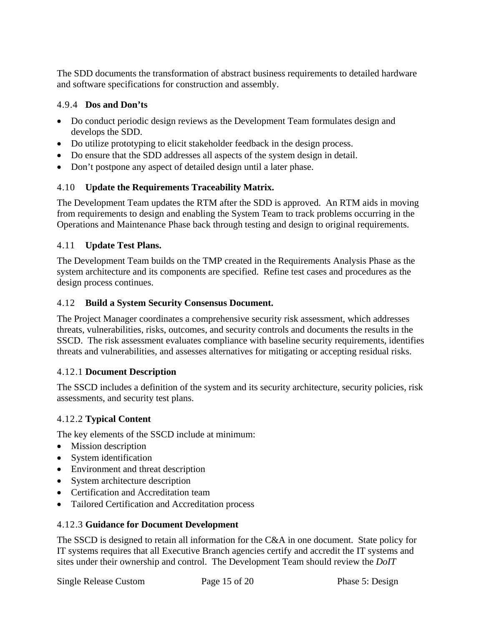The SDD documents the transformation of abstract business requirements to detailed hardware and software specifications for construction and assembly.

### 4.9.4 **Dos and Don'ts**

- Do conduct periodic design reviews as the Development Team formulates design and develops the SDD.
- Do utilize prototyping to elicit stakeholder feedback in the design process.
- Do ensure that the SDD addresses all aspects of the system design in detail.
- Don't postpone any aspect of detailed design until a later phase.

### 4.10 **Update the Requirements Traceability Matrix.**

The Development Team updates the RTM after the SDD is approved. An RTM aids in moving from requirements to design and enabling the System Team to track problems occurring in the Operations and Maintenance Phase back through testing and design to original requirements.

#### 4.11 **Update Test Plans.**

The Development Team builds on the TMP created in the Requirements Analysis Phase as the system architecture and its components are specified. Refine test cases and procedures as the design process continues.

#### 4.12 **Build a System Security Consensus Document.**

The Project Manager coordinates a comprehensive security risk assessment, which addresses threats, vulnerabilities, risks, outcomes, and security controls and documents the results in the SSCD. The risk assessment evaluates compliance with baseline security requirements, identifies threats and vulnerabilities, and assesses alternatives for mitigating or accepting residual risks.

#### 4.12.1 **Document Description**

The SSCD includes a definition of the system and its security architecture, security policies, risk assessments, and security test plans.

#### 4.12.2 **Typical Content**

The key elements of the SSCD include at minimum:

- Mission description
- System identification
- Environment and threat description
- System architecture description
- Certification and Accreditation team
- Tailored Certification and Accreditation process

#### 4.12.3 **Guidance for Document Development**

The SSCD is designed to retain all information for the C&A in one document. State policy for IT systems requires that all Executive Branch agencies certify and accredit the IT systems and sites under their ownership and control. The Development Team should review the *DoIT*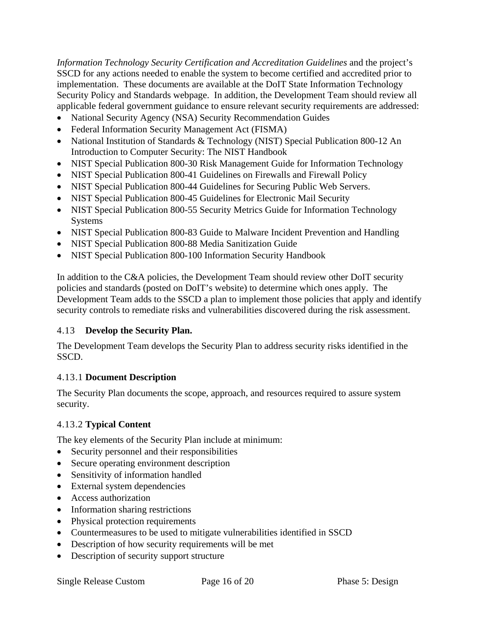*Information Technology Security Certification and Accreditation Guidelines* and the project's SSCD for any actions needed to enable the system to become certified and accredited prior to implementation. These documents are available at the DoIT State Information Technology Security Policy and Standards webpage. In addition, the Development Team should review all applicable federal government guidance to ensure relevant security requirements are addressed:

- National Security Agency (NSA) Security Recommendation Guides
- Federal Information Security Management Act (FISMA)
- National Institution of Standards & Technology (NIST) Special Publication 800-12 An Introduction to Computer Security: The NIST Handbook
- NIST Special Publication 800-30 Risk Management Guide for Information Technology
- NIST Special Publication 800-41 Guidelines on Firewalls and Firewall Policy
- NIST Special Publication 800-44 Guidelines for Securing Public Web Servers.
- NIST Special Publication 800-45 Guidelines for Electronic Mail Security
- NIST Special Publication 800-55 Security Metrics Guide for Information Technology Systems
- NIST Special Publication 800-83 Guide to Malware Incident Prevention and Handling
- NIST Special Publication 800-88 Media Sanitization Guide
- NIST Special Publication 800-100 Information Security Handbook

In addition to the C&A policies, the Development Team should review other DoIT security policies and standards (posted on DoIT's website) to determine which ones apply. The Development Team adds to the SSCD a plan to implement those policies that apply and identify security controls to remediate risks and vulnerabilities discovered during the risk assessment.

### 4.13 **Develop the Security Plan.**

The Development Team develops the Security Plan to address security risks identified in the SSCD.

### 4.13.1 **Document Description**

The Security Plan documents the scope, approach, and resources required to assure system security.

### 4.13.2 **Typical Content**

The key elements of the Security Plan include at minimum:

- Security personnel and their responsibilities
- Secure operating environment description
- Sensitivity of information handled
- External system dependencies
- Access authorization
- Information sharing restrictions
- Physical protection requirements
- Countermeasures to be used to mitigate vulnerabilities identified in SSCD
- Description of how security requirements will be met
- Description of security support structure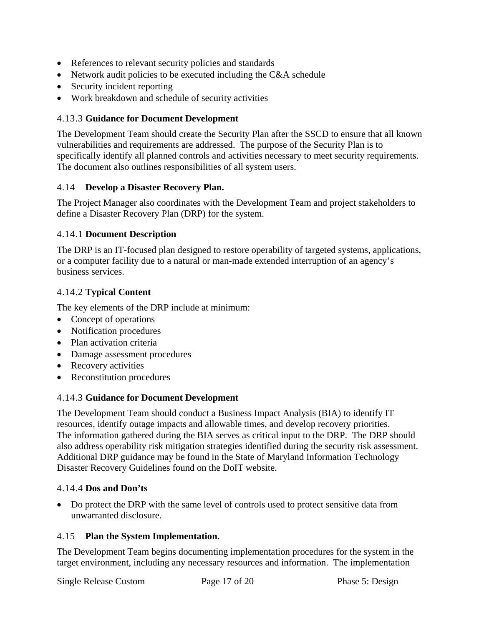- References to relevant security policies and standards
- Network audit policies to be executed including the C&A schedule
- Security incident reporting
- Work breakdown and schedule of security activities

#### 4.13.3 **Guidance for Document Development**

The Development Team should create the Security Plan after the SSCD to ensure that all known vulnerabilities and requirements are addressed. The purpose of the Security Plan is to specifically identify all planned controls and activities necessary to meet security requirements. The document also outlines responsibilities of all system users.

#### 4.14 **Develop a Disaster Recovery Plan.**

The Project Manager also coordinates with the Development Team and project stakeholders to define a Disaster Recovery Plan (DRP) for the system.

#### 4.14.1 **Document Description**

The DRP is an IT-focused plan designed to restore operability of targeted systems, applications, or a computer facility due to a natural or man-made extended interruption of an agency's business services.

#### 4.14.2 **Typical Content**

The key elements of the DRP include at minimum:

- Concept of operations
- Notification procedures
- Plan activation criteria
- Damage assessment procedures
- Recovery activities
- Reconstitution procedures

### 4.14.3 **Guidance for Document Development**

The Development Team should conduct a Business Impact Analysis (BIA) to identify IT resources, identify outage impacts and allowable times, and develop recovery priorities. The information gathered during the BIA serves as critical input to the DRP. The DRP should also address operability risk mitigation strategies identified during the security risk assessment. Additional DRP guidance may be found in the State of Maryland Information Technology Disaster Recovery Guidelines found on the DoIT website.

#### 4.14.4 **Dos and Don'ts**

• Do protect the DRP with the same level of controls used to protect sensitive data from unwarranted disclosure.

#### 4.15 **Plan the System Implementation.**

The Development Team begins documenting implementation procedures for the system in the target environment, including any necessary resources and information. The implementation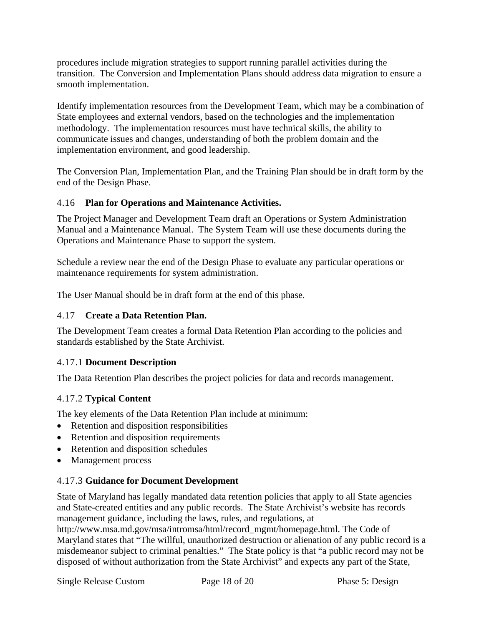procedures include migration strategies to support running parallel activities during the transition. The Conversion and Implementation Plans should address data migration to ensure a smooth implementation.

Identify implementation resources from the Development Team, which may be a combination of State employees and external vendors, based on the technologies and the implementation methodology. The implementation resources must have technical skills, the ability to communicate issues and changes, understanding of both the problem domain and the implementation environment, and good leadership.

The Conversion Plan, Implementation Plan, and the Training Plan should be in draft form by the end of the Design Phase.

### 4.16 **Plan for Operations and Maintenance Activities.**

The Project Manager and Development Team draft an Operations or System Administration Manual and a Maintenance Manual. The System Team will use these documents during the Operations and Maintenance Phase to support the system.

Schedule a review near the end of the Design Phase to evaluate any particular operations or maintenance requirements for system administration.

The User Manual should be in draft form at the end of this phase.

### 4.17 **Create a Data Retention Plan.**

The Development Team creates a formal Data Retention Plan according to the policies and standards established by the State Archivist.

### 4.17.1 **Document Description**

The Data Retention Plan describes the project policies for data and records management.

### 4.17.2 **Typical Content**

The key elements of the Data Retention Plan include at minimum:

- Retention and disposition responsibilities
- Retention and disposition requirements
- Retention and disposition schedules
- Management process

### 4.17.3 **Guidance for Document Development**

State of Maryland has legally mandated data retention policies that apply to all State agencies and State-created entities and any public records. The State Archivist's website has records management guidance, including the laws, rules, and regulations, at

http://www.msa.md.gov/msa/intromsa/html/record\_mgmt/homepage.html. The Code of Maryland states that "The willful, unauthorized destruction or alienation of any public record is a misdemeanor subject to criminal penalties." The State policy is that "a public record may not be disposed of without authorization from the State Archivist" and expects any part of the State,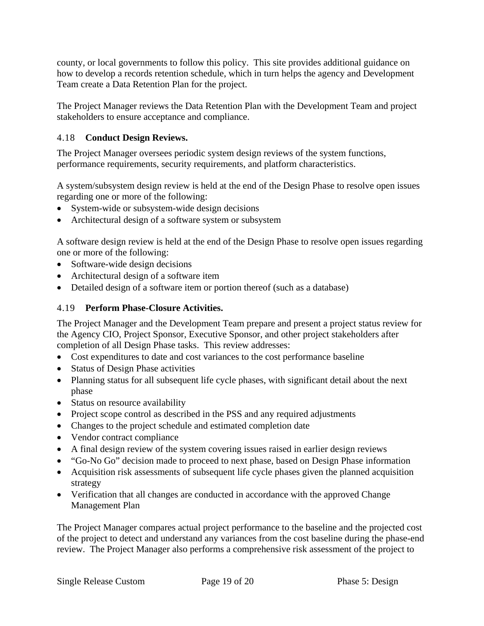county, or local governments to follow this policy. This site provides additional guidance on how to develop a records retention schedule, which in turn helps the agency and Development Team create a Data Retention Plan for the project.

The Project Manager reviews the Data Retention Plan with the Development Team and project stakeholders to ensure acceptance and compliance.

### 4.18 **Conduct Design Reviews.**

The Project Manager oversees periodic system design reviews of the system functions, performance requirements, security requirements, and platform characteristics.

A system/subsystem design review is held at the end of the Design Phase to resolve open issues regarding one or more of the following:

- System-wide or subsystem-wide design decisions
- Architectural design of a software system or subsystem

A software design review is held at the end of the Design Phase to resolve open issues regarding one or more of the following:

- Software-wide design decisions
- Architectural design of a software item
- Detailed design of a software item or portion thereof (such as a database)

### 4.19 **Perform Phase-Closure Activities.**

The Project Manager and the Development Team prepare and present a project status review for the Agency CIO, Project Sponsor, Executive Sponsor, and other project stakeholders after completion of all Design Phase tasks. This review addresses:

- Cost expenditures to date and cost variances to the cost performance baseline
- Status of Design Phase activities
- Planning status for all subsequent life cycle phases, with significant detail about the next phase
- Status on resource availability
- Project scope control as described in the PSS and any required adjustments
- Changes to the project schedule and estimated completion date
- Vendor contract compliance
- A final design review of the system covering issues raised in earlier design reviews
- "Go-No Go" decision made to proceed to next phase, based on Design Phase information
- Acquisition risk assessments of subsequent life cycle phases given the planned acquisition strategy
- Verification that all changes are conducted in accordance with the approved Change Management Plan

The Project Manager compares actual project performance to the baseline and the projected cost of the project to detect and understand any variances from the cost baseline during the phase-end review. The Project Manager also performs a comprehensive risk assessment of the project to